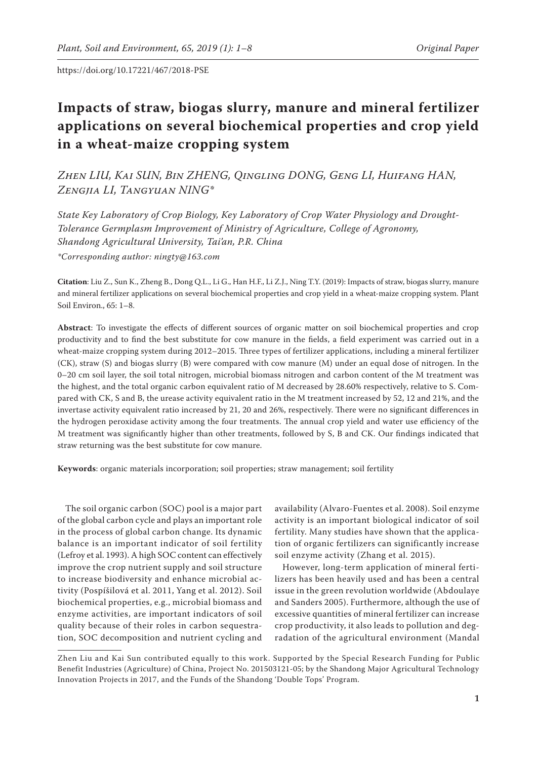# **Impacts of straw, biogas slurry, manure and mineral fertilizer applications on several biochemical properties and crop yield in a wheat-maize cropping system**

*Zhen LIU, Kai SUN, Bin ZHENG, Qingling DONG, Geng LI, Huifang HAN, Zengjia LI, Tangyuan NING\**

*State Key Laboratory of Crop Biology, Key Laboratory of Crop Water Physiology and Drought-Tolerance Germplasm Improvement of Ministry of Agriculture, College of Agronomy, Shandong Agricultural University, Tai'an, P.R. China \*Corresponding author: ningty@163.com*

**Citation**: Liu Z., Sun K., Zheng B., Dong Q.L., Li G., Han H.F., Li Z.J., Ning T.Y. (2019): Impacts of straw, biogas slurry, manure and mineral fertilizer applications on several biochemical properties and crop yield in a wheat-maize cropping system. Plant Soil Environ., 65: 1–8.

**Abstract**: To investigate the effects of different sources of organic matter on soil biochemical properties and crop productivity and to find the best substitute for cow manure in the fields, a field experiment was carried out in a wheat-maize cropping system during 2012–2015. Three types of fertilizer applications, including a mineral fertilizer (CK), straw (S) and biogas slurry (B) were compared with cow manure (M) under an equal dose of nitrogen. In the 0–20 cm soil layer, the soil total nitrogen, microbial biomass nitrogen and carbon content of the M treatment was the highest, and the total organic carbon equivalent ratio of M decreased by 28.60% respectively, relative to S. Compared with CK, S and B, the urease activity equivalent ratio in the M treatment increased by 52, 12 and 21%, and the invertase activity equivalent ratio increased by 21, 20 and 26%, respectively. There were no significant differences in the hydrogen peroxidase activity among the four treatments. The annual crop yield and water use efficiency of the M treatment was significantly higher than other treatments, followed by S, B and CK. Our findings indicated that straw returning was the best substitute for cow manure.

**Keywords**: organic materials incorporation; soil properties; straw management; soil fertility

The soil organic carbon (SOC) pool is a major part of the global carbon cycle and plays an important role in the process of global carbon change. Its dynamic balance is an important indicator of soil fertility (Lefroy et al. 1993). A high SOC content can effectively improve the crop nutrient supply and soil structure to increase biodiversity and enhance microbial activity (Pospíšilová et al. 2011, Yang et al. 2012). Soil biochemical properties, e.g., microbial biomass and enzyme activities, are important indicators of soil quality because of their roles in carbon sequestration, SOC decomposition and nutrient cycling and

availability (Alvaro-Fuentes et al. 2008). Soil enzyme activity is an important biological indicator of soil fertility. Many studies have shown that the application of organic fertilizers can significantly increase soil enzyme activity (Zhang et al. 2015).

However, long-term application of mineral fertilizers has been heavily used and has been a central issue in the green revolution worldwide (Abdoulaye and Sanders 2005). Furthermore, although the use of excessive quantities of mineral fertilizer can increase crop productivity, it also leads to pollution and degradation of the agricultural environment (Mandal

Zhen Liu and Kai Sun contributed equally to this work. Supported by the Special Research Funding for Public Benefit Industries (Agriculture) of China, Project No. 201503121-05; by the Shandong Major Agricultural Technology Innovation Projects in 2017, and the Funds of the Shandong 'Double Tops' Program.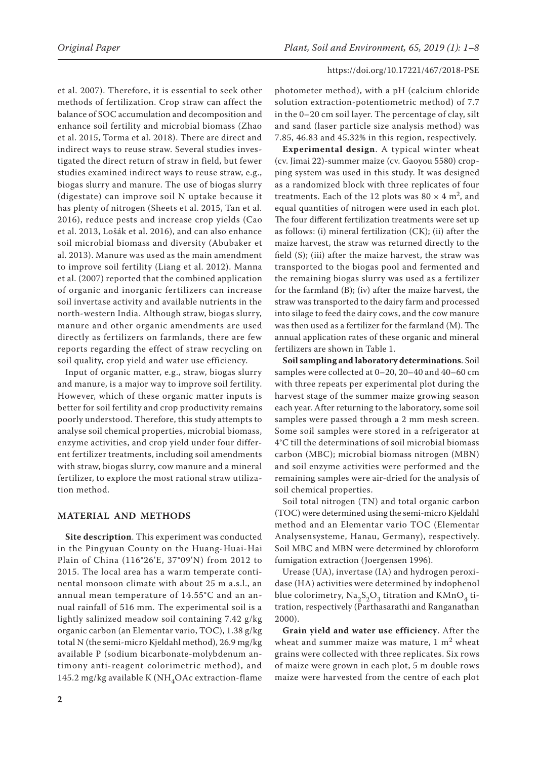et al. 2007). Therefore, it is essential to seek other methods of fertilization. Crop straw can affect the balance of SOC accumulation and decomposition and enhance soil fertility and microbial biomass (Zhao et al. 2015, Torma et al. 2018). There are direct and indirect ways to reuse straw. Several studies investigated the direct return of straw in field, but fewer studies examined indirect ways to reuse straw, e.g., biogas slurry and manure. The use of biogas slurry (digestate) can improve soil N uptake because it has plenty of nitrogen (Sheets et al. 2015, Tan et al. 2016), reduce pests and increase crop yields (Cao et al. 2013, Lošák et al. 2016), and can also enhance soil microbial biomass and diversity (Abubaker et al. 2013). Manure was used as the main amendment to improve soil fertility (Liang et al. 2012). Manna et al. (2007) reported that the combined application of organic and inorganic fertilizers can increase soil invertase activity and available nutrients in the north-western India. Although straw, biogas slurry, manure and other organic amendments are used directly as fertilizers on farmlands, there are few reports regarding the effect of straw recycling on soil quality, crop yield and water use efficiency.

Input of organic matter, e.g., straw, biogas slurry and manure, is a major way to improve soil fertility. However, which of these organic matter inputs is better for soil fertility and crop productivity remains poorly understood. Therefore, this study attempts to analyse soil chemical properties, microbial biomass, enzyme activities, and crop yield under four different fertilizer treatments, including soil amendments with straw, biogas slurry, cow manure and a mineral fertilizer, to explore the most rational straw utilization method.

# **MATERIAL AND METHODS**

**Site description**. This experiment was conducted in the Pingyuan County on the Huang-Huai-Hai Plain of China (116°26'E, 37°09'N) from 2012 to 2015. The local area has a warm temperate continental monsoon climate with about 25 m a.s.l., an annual mean temperature of 14.55°C and an annual rainfall of 516 mm. The experimental soil is a lightly salinized meadow soil containing 7.42 g/kg organic carbon (an Elementar vario, TOC), 1.38 g/kg total N (the semi-micro Kjeldahl method), 26.9 mg/kg available P (sodium bicarbonate-molybdenum antimony anti-reagent colorimetric method), and 145.2 mg/kg available K (NH<sub>4</sub>OAc extraction-flame

photometer method), with a pH (calcium chloride solution extraction-potentiometric method) of 7.7 in the 0–20 cm soil layer. The percentage of clay, silt and sand (laser particle size analysis method) was 7.85, 46.83 and 45.32% in this region, respectively.

**Experimental design**. A typical winter wheat (cv. Jimai 22)-summer maize (cv. Gaoyou 5580) cropping system was used in this study. It was designed as a randomized block with three replicates of four treatments. Each of the 12 plots was  $80 \times 4$  m<sup>2</sup>, and equal quantities of nitrogen were used in each plot. The four different fertilization treatments were set up as follows: (i) mineral fertilization (CK); (ii) after the maize harvest, the straw was returned directly to the field (S); (iii) after the maize harvest, the straw was transported to the biogas pool and fermented and the remaining biogas slurry was used as a fertilizer for the farmland (B); (iv) after the maize harvest, the straw was transported to the dairy farm and processed into silage to feed the dairy cows, and the cow manure was then used as a fertilizer for the farmland (M). The annual application rates of these organic and mineral fertilizers are shown in Table 1.

**Soil sampling and laboratory determinations**. Soil samples were collected at 0–20, 20–40 and 40–60 cm with three repeats per experimental plot during the harvest stage of the summer maize growing season each year. After returning to the laboratory, some soil samples were passed through a 2 mm mesh screen. Some soil samples were stored in a refrigerator at 4°C till the determinations of soil microbial biomass carbon (MBC); microbial biomass nitrogen (MBN) and soil enzyme activities were performed and the remaining samples were air-dried for the analysis of soil chemical properties.

Soil total nitrogen (TN) and total organic carbon (TOC) were determined using the semi-micro Kjeldahl method and an Elementar vario TOC (Elementar Analysensysteme, Hanau, Germany), respectively. Soil MBC and MBN were determined by chloroform fumigation extraction (Joergensen 1996).

Urease (UA), invertase (IA) and hydrogen peroxidase (HA) activities were determined by indophenol blue colorimetry,  $\text{Na}_2\text{S}_2\text{O}_3$  titration and  $\text{KMnO}_4$  titration, respectively (Parthasarathi and Ranganathan 2000).

**Grain yield and water use efficiency**. After the wheat and summer maize was mature,  $1 \text{ m}^2$  wheat grains were collected with three replicates. Six rows of maize were grown in each plot, 5 m double rows maize were harvested from the centre of each plot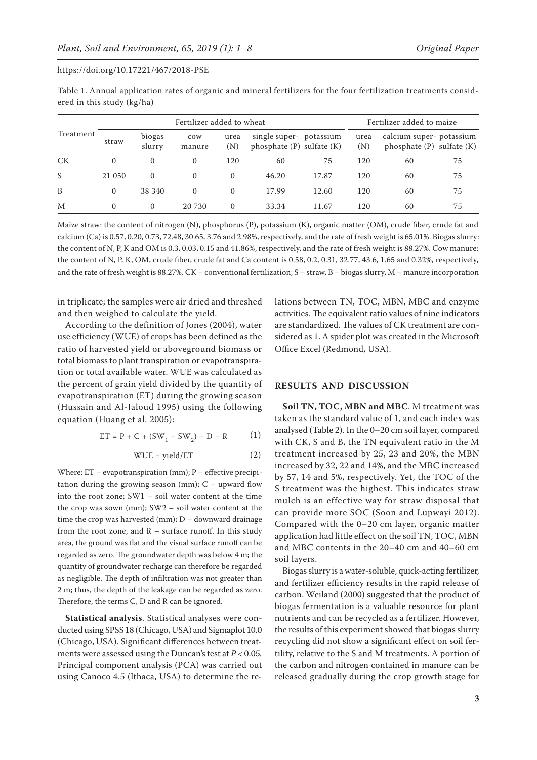|                            | Table 1. Annual application rates of organic and mineral fertilizers for the four fertilization treatments consid- |  |  |  |
|----------------------------|--------------------------------------------------------------------------------------------------------------------|--|--|--|
| ered in this study (kg/ha) |                                                                                                                    |  |  |  |

|           | Fertilizer added to wheat |                  |               |                     |                                                          |       | Fertilizer added to maize |                                                          |    |
|-----------|---------------------------|------------------|---------------|---------------------|----------------------------------------------------------|-------|---------------------------|----------------------------------------------------------|----|
| Treatment | straw                     | biogas<br>slurry | cow<br>manure | urea<br>$({\rm N})$ | single super- potassium<br>phosphate $(P)$ sulfate $(K)$ |       | urea<br>(N)               | calcium super-potassium<br>phosphate $(P)$ sulfate $(K)$ |    |
| <b>CK</b> | $\mathbf{0}$              | $\Omega$         | $\mathbf{0}$  | 120                 | 60                                                       | 75    | 120                       | 60                                                       | 75 |
| S         | 21 050                    | $\Omega$         | $\Omega$      | $\Omega$            | 46.20                                                    | 17.87 | 120                       | 60                                                       | 75 |
| B         | $\Omega$                  | 38 340           | $\Omega$      | $\Omega$            | 17.99                                                    | 12.60 | 120                       | 60                                                       | 75 |
| M         | $\Omega$                  | $\Omega$         | 20 730        | $\Omega$            | 33.34                                                    | 11.67 | 120                       | 60                                                       | 75 |

Maize straw: the content of nitrogen (N), phosphorus (P), potassium (K), organic matter (OM), crude fiber, crude fat and calcium (Ca) is 0.57, 0.20, 0.73, 72.48, 30.65, 3.76 and 2.98%, respectively, and the rate of fresh weight is 65.01%. Biogas slurry: the content of N, P, K and OM is 0.3, 0.03, 0.15 and 41.86%, respectively, and the rate of fresh weight is 88.27%. Cow manure: the content of N, P, K, OM, crude fiber, crude fat and Ca content is 0.58, 0.2, 0.31, 32.77, 43.6, 1.65 and 0.32%, respectively, and the rate of fresh weight is 88.27%. CK – conventional fertilization; S – straw, B – biogas slurry, M – manure incorporation

in triplicate; the samples were air dried and threshed and then weighed to calculate the yield.

According to the definition of Jones (2004), water use efficiency (WUE) of crops has been defined as the ratio of harvested yield or aboveground biomass or total biomass to plant transpiration or evapotranspiration or total available water. WUE was calculated as the percent of grain yield divided by the quantity of evapotranspiration (ET) during the growing season (Hussain and Al-Jaloud 1995) using the following equation (Huang et al. 2005):

$$
ET = P + C + (SW_1 - SW_2) - D - R \tag{1}
$$

$$
WUE = yield/ET
$$
 (2)

Where:  $ET$  – evapotranspiration (mm);  $P$  – effective precipitation during the growing season (mm);  $C -$  upward flow into the root zone; SW1 – soil water content at the time the crop was sown (mm); SW2 – soil water content at the time the crop was harvested (mm);  $D -$  downward drainage from the root zone, and  $R$  – surface runoff. In this study area, the ground was flat and the visual surface runoff can be regarded as zero. The groundwater depth was below 4 m; the quantity of groundwater recharge can therefore be regarded as negligible. The depth of infiltration was not greater than 2 m; thus, the depth of the leakage can be regarded as zero. Therefore, the terms C, D and R can be ignored.

**Statistical analysis**. Statistical analyses were conducted using SPSS 18 (Chicago, USA) and Sigmaplot 10.0 (Chicago, USA). Significant differences between treatments were assessed using the Duncan's test at *P* < 0.05*.* Principal component analysis (PCA) was carried out using Canoco 4.5 (Ithaca, USA) to determine the relations between TN, TOC, MBN, MBC and enzyme activities. The equivalent ratio values of nine indicators are standardized. The values of CK treatment are considered as 1. A spider plot was created in the Microsoft Office Excel (Redmond, USA).

## **RESULTS AND DISCUSSION**

**Soil TN, TOC, MBN and MBC**. M treatment was taken as the standard value of 1, and each index was analysed (Table 2). In the 0–20 cm soil layer, compared with CK, S and B, the TN equivalent ratio in the M treatment increased by 25, 23 and 20%, the MBN increased by 32, 22 and 14%, and the MBC increased by 57, 14 and 5%, respectively. Yet, the TOC of the S treatment was the highest. This indicates straw mulch is an effective way for straw disposal that can provide more SOC (Soon and Lupwayi 2012). Compared with the 0–20 cm layer, organic matter application had little effect on the soil TN, TOC, MBN and MBC contents in the 20–40 cm and 40–60 cm soil layers.

Biogas slurry is a water-soluble, quick-acting fertilizer, and fertilizer efficiency results in the rapid release of carbon. Weiland (2000) suggested that the product of biogas fermentation is a valuable resource for plant nutrients and can be recycled as a fertilizer. However, the results of this experiment showed that biogas slurry recycling did not show a significant effect on soil fertility, relative to the S and M treatments. A portion of the carbon and nitrogen contained in manure can be released gradually during the crop growth stage for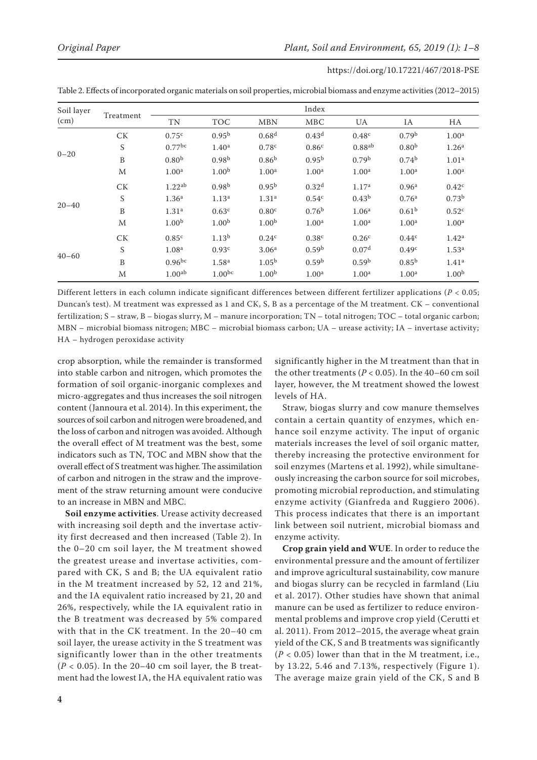| Soil layer<br>(cm) | Treatment   | Index              |                    |                   |                   |                      |                   |                   |  |
|--------------------|-------------|--------------------|--------------------|-------------------|-------------------|----------------------|-------------------|-------------------|--|
|                    |             | TN                 | <b>TOC</b>         | <b>MBN</b>        | <b>MBC</b>        | UA                   | IA                | HA                |  |
| $0 - 20$           | <b>CK</b>   | 0.75 <sup>c</sup>  | $0.95^{b}$         | 0.68 <sup>d</sup> | 0.43 <sup>d</sup> | 0.48 <sup>c</sup>    | 0.79 <sup>b</sup> | 1.00 <sup>a</sup> |  |
|                    | S           | $0.77$ bc          | 1.40 <sup>a</sup>  | 0.78 <sup>c</sup> | 0.86 <sup>c</sup> | $0.88$ <sup>ab</sup> | 0.80 <sup>b</sup> | 1.26 <sup>a</sup> |  |
|                    | B           | 0.80 <sup>b</sup>  | 0.98 <sup>b</sup>  | 0.86 <sup>b</sup> | 0.95 <sup>b</sup> | 0.79 <sup>b</sup>    | $0.74^{b}$        | 1.01 <sup>a</sup> |  |
|                    | M           | 1.00 <sup>a</sup>  | 1.00 <sup>b</sup>  | 1.00 <sup>a</sup> | 1.00 <sup>a</sup> | 1.00 <sup>a</sup>    | 1.00 <sup>a</sup> | 1.00 <sup>a</sup> |  |
| $20 - 40$          | <b>CK</b>   | 1.22 <sup>ab</sup> | 0.98 <sup>b</sup>  | $0.95^{b}$        | 0.32 <sup>d</sup> | 1.17 <sup>a</sup>    | 0.96 <sup>a</sup> | 0.42 <sup>c</sup> |  |
|                    | $\mathbf S$ | 1.36 <sup>a</sup>  | 1.13 <sup>a</sup>  | 1.31 <sup>a</sup> | 0.54 <sup>c</sup> | $0.43^{b}$           | 0.76 <sup>a</sup> | 0.73 <sup>b</sup> |  |
|                    | B           | 1.31 <sup>a</sup>  | 0.63 <sup>c</sup>  | 0.80 <sup>c</sup> | 0.76 <sup>b</sup> | 1.06 <sup>a</sup>    | 0.61 <sup>b</sup> | 0.52 <sup>c</sup> |  |
|                    | M           | 1.00 <sup>b</sup>  | 1.00 <sup>b</sup>  | 1.00 <sup>b</sup> | 1.00 <sup>a</sup> | 1.00 <sup>a</sup>    | 1.00 <sup>a</sup> | 1.00 <sup>a</sup> |  |
| $40 - 60$          | CK          | 0.85 <sup>c</sup>  | 1.13 <sup>b</sup>  | 0.24 <sup>c</sup> | 0.38 <sup>c</sup> | 0.26 <sup>c</sup>    | 0.44 <sup>c</sup> | 1.42 <sup>a</sup> |  |
|                    | S           | 1.08 <sup>a</sup>  | 0.93 <sup>c</sup>  | 3.06 <sup>a</sup> | 0.59 <sup>b</sup> | 0.07 <sup>d</sup>    | 0.49 <sup>c</sup> | 1.53 <sup>a</sup> |  |
|                    | B           | $0.96^{bc}$        | 1.58 <sup>a</sup>  | 1.05 <sup>b</sup> | 0.59 <sup>b</sup> | 0.59 <sup>b</sup>    | $0.85^{b}$        | 1.41 <sup>a</sup> |  |
|                    | M           | 1.00 <sup>ab</sup> | 1.00 <sup>bc</sup> | 1.00 <sup>b</sup> | 1.00 <sup>a</sup> | 1.00 <sup>a</sup>    | 1.00 <sup>a</sup> | 1.00 <sup>b</sup> |  |

Different letters in each column indicate significant differences between different fertilizer applications (*P* < 0.05; Duncan's test). M treatment was expressed as 1 and CK, S, B as a percentage of the M treatment. CK – conventional fertilization; S – straw, B – biogas slurry, M – manure incorporation; TN – total nitrogen; TOC – total organic carbon; MBN – microbial biomass nitrogen; MBC – microbial biomass carbon; UA – urease activity; IA – invertase activity; HA – hydrogen peroxidase activity

crop absorption, while the remainder is transformed into stable carbon and nitrogen, which promotes the formation of soil organic-inorganic complexes and micro-aggregates and thus increases the soil nitrogen content (Jannoura et al. 2014). In this experiment, the sources of soil carbon and nitrogen were broadened, and the loss of carbon and nitrogen was avoided. Although the overall effect of M treatment was the best, some indicators such as TN, TOC and MBN show that the overall effect of S treatment was higher. The assimilation of carbon and nitrogen in the straw and the improvement of the straw returning amount were conducive to an increase in MBN and MBC.

**Soil enzyme activities**. Urease activity decreased with increasing soil depth and the invertase activity first decreased and then increased (Table 2). In the 0–20 cm soil layer, the M treatment showed the greatest urease and invertase activities, compared with CK, S and B; the UA equivalent ratio in the M treatment increased by 52, 12 and 21%, and the IA equivalent ratio increased by 21, 20 and 26%, respectively, while the IA equivalent ratio in the B treatment was decreased by 5% compared with that in the CK treatment. In the 20–40 cm soil layer, the urease activity in the S treatment was significantly lower than in the other treatments  $(P < 0.05)$ . In the 20-40 cm soil layer, the B treatment had the lowest IA, the HA equivalent ratio was

significantly higher in the M treatment than that in the other treatments  $(P < 0.05)$ . In the 40–60 cm soil layer, however, the M treatment showed the lowest levels of HA.

Straw, biogas slurry and cow manure themselves contain a certain quantity of enzymes, which enhance soil enzyme activity. The input of organic materials increases the level of soil organic matter, thereby increasing the protective environment for soil enzymes (Martens et al. 1992), while simultaneously increasing the carbon source for soil microbes, promoting microbial reproduction, and stimulating enzyme activity (Gianfreda and Ruggiero 2006). This process indicates that there is an important link between soil nutrient, microbial biomass and enzyme activity.

**Crop grain yield and WUE**. In order to reduce the environmental pressure and the amount of fertilizer and improve agricultural sustainability, cow manure and biogas slurry can be recycled in farmland (Liu et al. 2017). Other studies have shown that animal manure can be used as fertilizer to reduce environmental problems and improve crop yield (Cerutti et al. 2011). From 2012–2015, the average wheat grain yield of the CK, S and B treatments was significantly  $(P < 0.05)$  lower than that in the M treatment, i.e., by 13.22, 5.46 and 7.13%, respectively (Figure 1). The average maize grain yield of the CK, S and B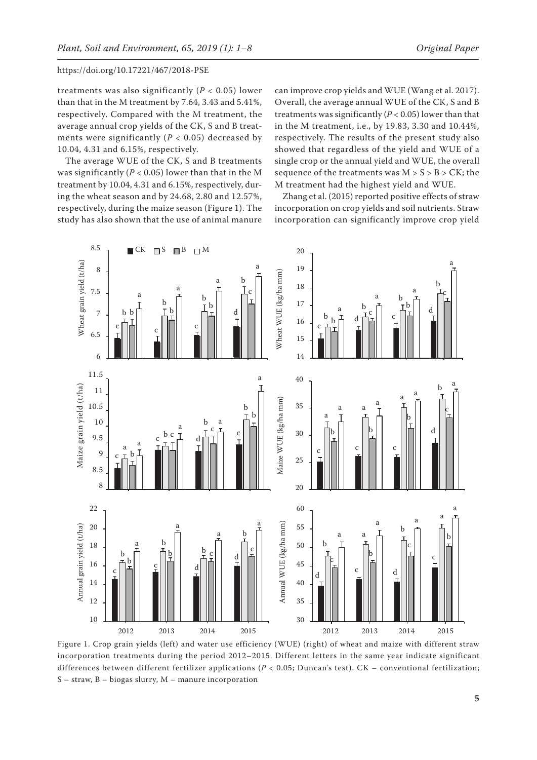treatments was also significantly  $(P < 0.05)$  lower than that in the M treatment by 7.64, 3.43 and 5.41%, respectively. Compared with the M treatment, the average annual crop yields of the CK, S and B treatments were significantly  $(P < 0.05)$  decreased by 10.04, 4.31 and 6.15%, respectively.

The average WUE of the CK, S and B treatments was significantly ( $P < 0.05$ ) lower than that in the M treatment by 10.04, 4.31 and 6.15%, respectively, during the wheat season and by 24.68, 2.80 and 12.57%, respectively, during the maize season (Figure 1). The study has also shown that the use of animal manure

can improve crop yields and WUE (Wang et al. 2017). Overall, the average annual WUE of the CK, S and B treatments was significantly  $(P < 0.05)$  lower than that in the M treatment, i.e., by 19.83, 3.30 and 10.44%, respectively. The results of the present study also showed that regardless of the yield and WUE of a single crop or the annual yield and WUE, the overall sequence of the treatments was  $M > S > B > CK$ ; the M treatment had the highest yield and WUE.

Zhang et al. (2015) reported positive effects of straw incorporation on crop yields and soil nutrients. Straw incorporation can significantly improve crop yield



Figure 1. Crop grain yields (left) and water use efficiency (WUE) (right) of wheat and maize with different straw incorporation treatments during the period 2012–2015. Different letters in the same year indicate significant differences between different fertilizer applications (*P* < 0.05; Duncan's test). CK – conventional fertilization; S – straw, B – biogas slurry, M – manure incorporation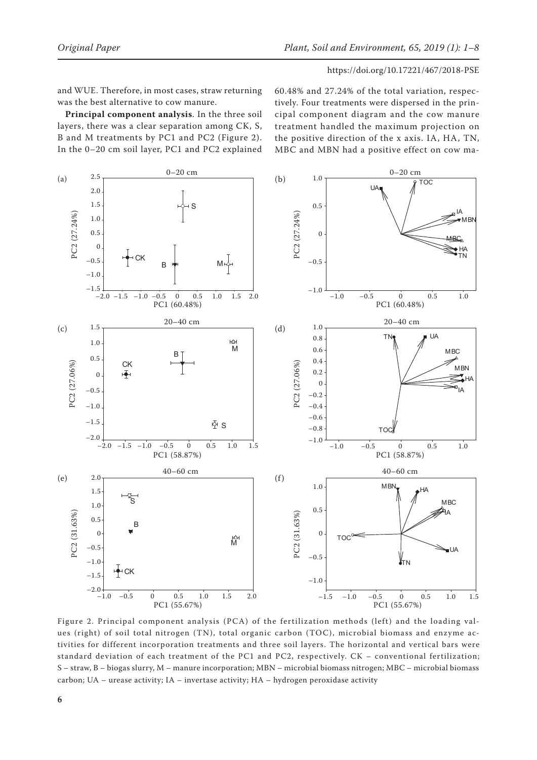and WUE. Therefore, in most cases, straw returning was the best alternative to cow manure.

**Principal component analysis**. In the three soil layers, there was a clear separation among CK, S, B and M treatments by PC1 and PC2 (Figure 2). In the 0–20 cm soil layer, PC1 and PC2 explained

60.48% and 27.24% of the total variation, respectively. Four treatments were dispersed in the principal component diagram and the cow manure treatment handled the maximum projection on the positive direction of the x axis. IA, HA, TN, MBC and MBN had a positive effect on cow ma-



Figure 2. Principal component analysis (PCA) of the fertilization methods (left) and the loading values (right) of soil total nitrogen (TN), total organic carbon (TOC), microbial biomass and enzyme activities for different incorporation treatments and three soil layers. The horizontal and vertical bars were standard deviation of each treatment of the PC1 and PC2, respectively. CK – conventional fertilization; S – straw, B – biogas slurry, M – manure incorporation; MBN – microbial biomass nitrogen; MBC – microbial biomass carbon; UA – urease activity;  $IA$  – invertase activity;  $HA$  – hydrogen peroxidase activity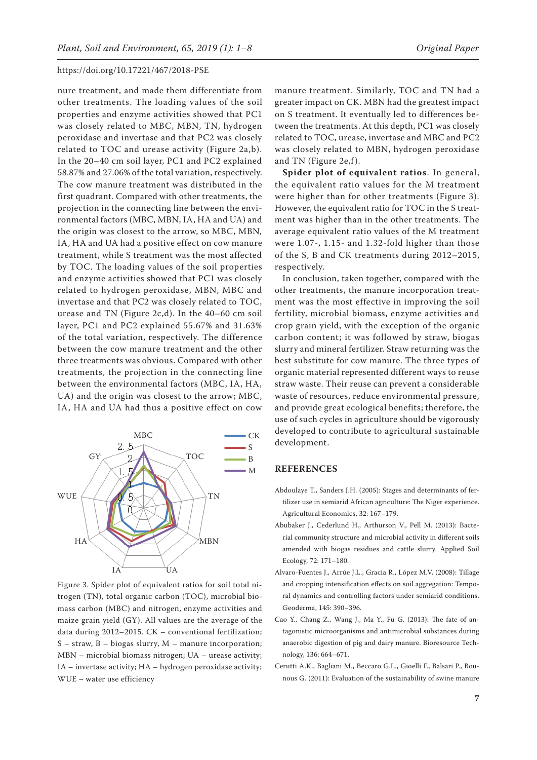nure treatment, and made them differentiate from other treatments. The loading values of the soil properties and enzyme activities showed that PC1 was closely related to MBC, MBN, TN, hydrogen peroxidase and invertase and that PC2 was closely related to TOC and urease activity (Figure 2a,b). In the 20–40 cm soil layer, PC1 and PC2 explained 58.87% and 27.06% of the total variation, respectively. The cow manure treatment was distributed in the first quadrant. Compared with other treatments, the projection in the connecting line between the environmental factors (MBC, MBN, IA, HA and UA) and the origin was closest to the arrow, so MBC, MBN, IA, HA and UA had a positive effect on cow manure treatment, while S treatment was the most affected by TOC. The loading values of the soil properties and enzyme activities showed that PC1 was closely related to hydrogen peroxidase, MBN, MBC and invertase and that PC2 was closely related to TOC, urease and TN (Figure 2c,d). In the 40–60 cm soil layer, PC1 and PC2 explained 55.67% and 31.63% of the total variation, respectively. The difference between the cow manure treatment and the other three treatments was obvious. Compared with other treatments, the projection in the connecting line between the environmental factors (MBC, IA, HA, UA) and the origin was closest to the arrow; MBC, IA, HA and UA had thus a positive effect on cow



Figure 3. Spider plot of equivalent ratios for soil total nitrogen (TN), total organic carbon (TOC), microbial biomass carbon (MBC) and nitrogen, enzyme activities and maize grain yield (GY). All values are the average of the data during 2012–2015. CK – conventional fertilization; S – straw, B – biogas slurry, M – manure incorporation; MBN – microbial biomass nitrogen; UA – urease activity; IA – invertase activity; HA – hydrogen peroxidase activity; WUE – water use efficiency

manure treatment. Similarly, TOC and TN had a greater impact on CK. MBN had the greatest impact on S treatment. It eventually led to differences between the treatments. At this depth, PC1 was closely related to TOC, urease, invertase and MBC and PC2 was closely related to MBN, hydrogen peroxidase and TN (Figure 2e,f).

**Spider plot of equivalent ratios**. In general, the equivalent ratio values for the M treatment were higher than for other treatments (Figure 3). However, the equivalent ratio for TOC in the S treatment was higher than in the other treatments. The average equivalent ratio values of the M treatment were 1.07-, 1.15- and 1.32-fold higher than those of the S, B and CK treatments during 2012–2015, respectively.

In conclusion, taken together, compared with the other treatments, the manure incorporation treatment was the most effective in improving the soil fertility, microbial biomass, enzyme activities and crop grain yield, with the exception of the organic carbon content; it was followed by straw, biogas slurry and mineral fertilizer. Straw returning was the best substitute for cow manure. The three types of organic material represented different ways to reuse straw waste. Their reuse can prevent a considerable waste of resources, reduce environmental pressure, and provide great ecological benefits; therefore, the use of such cycles in agriculture should be vigorously developed to contribute to agricultural sustainable development.

# **REFERENCES**

- Abdoulaye T., Sanders J.H. (2005): Stages and determinants of fertilizer use in semiarid African agriculture: The Niger experience. Agricultural Economics, 32: 167–179.
- Abubaker J., Cederlund H., Arthurson V., Pell M. (2013): Bacterial community structure and microbial activity in different soils amended with biogas residues and cattle slurry. Applied Soil Ecology, 72: 171–180.
- Alvaro-Fuentes J., Arrúe J.L., Gracia R., López M.V. (2008): Tillage and cropping intensification effects on soil aggregation: Temporal dynamics and controlling factors under semiarid conditions. Geoderma, 145: 390–396.
- Cao Y., Chang Z., Wang J., Ma Y., Fu G. (2013): The fate of antagonistic microorganisms and antimicrobial substances during anaerobic digestion of pig and dairy manure. Bioresource Technology, 136: 664–671.
- Cerutti A.K., Bagliani M., Beccaro G.L., Gioelli F., Balsari P., Bounous G. (2011): Evaluation of the sustainability of swine manure